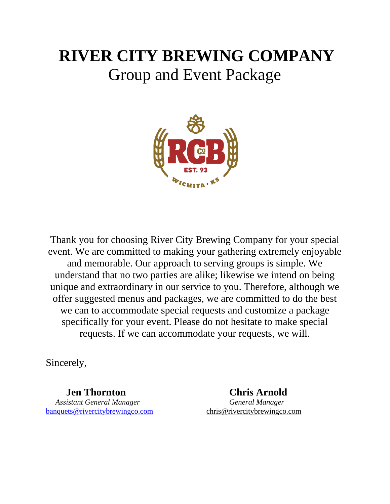# **RIVER CITY BREWING COMPANY** Group and Event Package



Thank you for choosing River City Brewing Company for your special event. We are committed to making your gathering extremely enjoyable and memorable. Our approach to serving groups is simple. We understand that no two parties are alike; likewise we intend on being unique and extraordinary in our service to you. Therefore, although we offer suggested menus and packages, we are committed to do the best we can to accommodate special requests and customize a package specifically for your event. Please do not hesitate to make special requests. If we can accommodate your requests, we will.

Sincerely,

 **Jen Thornton Chris Arnold**  *Assistant General Manager General Manager* [banquets@rivercitybrewingco.com](mailto:banquets@rivercitybrewingco.com) chris@rivercitybrewingco.com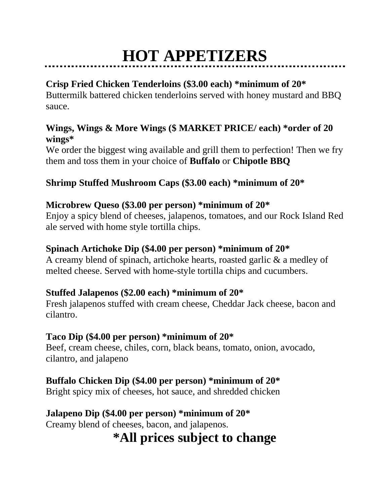# **HOT APPETIZERS**

## **Crisp Fried Chicken Tenderloins (\$3.00 each) \*minimum of 20\***

Buttermilk battered chicken tenderloins served with honey mustard and BBQ sauce.

### **Wings, Wings & More Wings (\$ MARKET PRICE/ each) \*order of 20 wings\***

We order the biggest wing available and grill them to perfection! Then we fry them and toss them in your choice of **Buffalo** or **Chipotle BBQ**

### **Shrimp Stuffed Mushroom Caps (\$3.00 each) \*minimum of 20\***

### **Microbrew Queso (\$3.00 per person) \*minimum of 20\***

Enjoy a spicy blend of cheeses, jalapenos, tomatoes, and our Rock Island Red ale served with home style tortilla chips.

### **Spinach Artichoke Dip (\$4.00 per person) \*minimum of 20\***

A creamy blend of spinach, artichoke hearts, roasted garlic & a medley of melted cheese. Served with home-style tortilla chips and cucumbers.

### **Stuffed Jalapenos (\$2.00 each) \*minimum of 20\***

Fresh jalapenos stuffed with cream cheese, Cheddar Jack cheese, bacon and cilantro.

### **Taco Dip (\$4.00 per person) \*minimum of 20\***

Beef, cream cheese, chiles, corn, black beans, tomato, onion, avocado, cilantro, and jalapeno

### **Buffalo Chicken Dip (\$4.00 per person) \*minimum of 20\***

Bright spicy mix of cheeses, hot sauce, and shredded chicken

## **Jalapeno Dip (\$4.00 per person) \*minimum of 20\***

Creamy blend of cheeses, bacon, and jalapenos.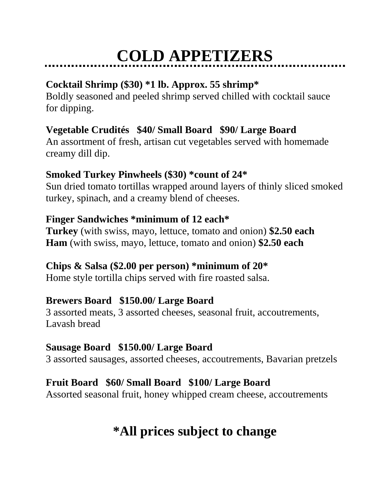# **COLD APPETIZERS**

## **Cocktail Shrimp (\$30) \*1 lb. Approx. 55 shrimp\***

Boldly seasoned and peeled shrimp served chilled with cocktail sauce for dipping.

## **Vegetable Crudités \$40/ Small Board \$90/ Large Board**

An assortment of fresh, artisan cut vegetables served with homemade creamy dill dip.

## **Smoked Turkey Pinwheels (\$30) \*count of 24\***

Sun dried tomato tortillas wrapped around layers of thinly sliced smoked turkey, spinach, and a creamy blend of cheeses.

## **Finger Sandwiches \*minimum of 12 each\***

**Turkey** (with swiss, mayo, lettuce, tomato and onion) **\$2.50 each Ham** (with swiss, mayo, lettuce, tomato and onion) **\$2.50 each** 

## **Chips & Salsa (\$2.00 per person) \*minimum of 20\***

Home style tortilla chips served with fire roasted salsa.

## **Brewers Board \$150.00/ Large Board**

3 assorted meats, 3 assorted cheeses, seasonal fruit, accoutrements, Lavash bread

## **Sausage Board \$150.00/ Large Board**

3 assorted sausages, assorted cheeses, accoutrements, Bavarian pretzels

## **Fruit Board \$60/ Small Board \$100/ Large Board**

Assorted seasonal fruit, honey whipped cream cheese, accoutrements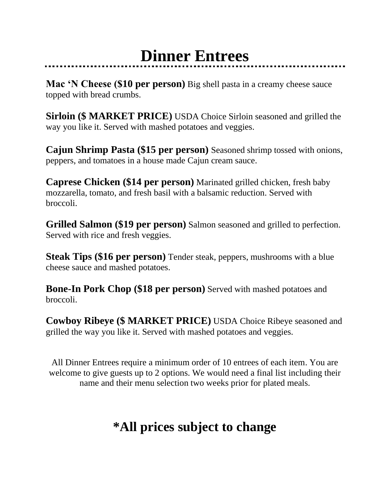# **Dinner Entrees**

**Mac 'N Cheese (\$10 per person)** Big shell pasta in a creamy cheese sauce topped with bread crumbs.

**Sirloin (\$ MARKET PRICE)** USDA Choice Sirloin seasoned and grilled the way you like it. Served with mashed potatoes and veggies.

**Cajun Shrimp Pasta (\$15 per person)** Seasoned shrimp tossed with onions, peppers, and tomatoes in a house made Cajun cream sauce.

**Caprese Chicken (\$14 per person)** Marinated grilled chicken, fresh baby mozzarella, tomato, and fresh basil with a balsamic reduction. Served with broccoli.

**Grilled Salmon (\$19 per person)** Salmon seasoned and grilled to perfection. Served with rice and fresh veggies.

**Steak Tips (\$16 per person)** Tender steak, peppers, mushrooms with a blue cheese sauce and mashed potatoes.

**Bone-In Pork Chop (\$18 per person)** Served with mashed potatoes and broccoli.

**Cowboy Ribeye (\$ MARKET PRICE)** USDA Choice Ribeye seasoned and grilled the way you like it. Served with mashed potatoes and veggies.

All Dinner Entrees require a minimum order of 10 entrees of each item. You are welcome to give guests up to 2 options. We would need a final list including their name and their menu selection two weeks prior for plated meals.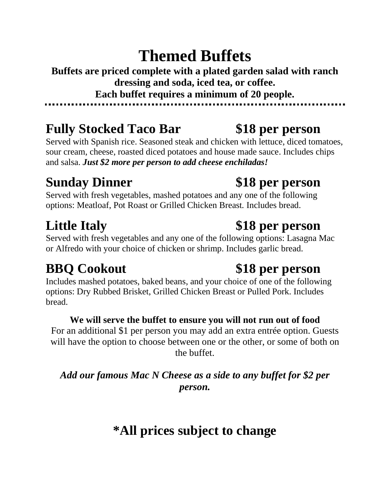# **Themed Buffets**

**Buffets are priced complete with a plated garden salad with ranch dressing and soda, iced tea, or coffee. Each buffet requires a minimum of 20 people.**

## **Fully Stocked Taco Bar \$18 per person**

Served with Spanish rice. Seasoned steak and chicken with lettuce, diced tomatoes, sour cream, cheese, roasted diced potatoes and house made sauce. Includes chips and salsa. *Just \$2 more per person to add cheese enchiladas!*

## **Sunday Dinner \$18 per person**

Served with fresh vegetables, mashed potatoes and any one of the following options: Meatloaf, Pot Roast or Grilled Chicken Breast*.* Includes bread.

Served with fresh vegetables and any one of the following options: Lasagna Mac or Alfredo with your choice of chicken or shrimp. Includes garlic bread.

Includes mashed potatoes, baked beans, and your choice of one of the following options: Dry Rubbed Brisket, Grilled Chicken Breast or Pulled Pork. Includes bread.

### **We will serve the buffet to ensure you will not run out of food**

For an additional \$1 per person you may add an extra entrée option. Guests will have the option to choose between one or the other, or some of both on the buffet.

*Add our famous Mac N Cheese as a side to any buffet for \$2 per person.*

# **\*All prices subject to change**

# **BBQ Cookout \$18 per person**

**Little Italy \$18 per person**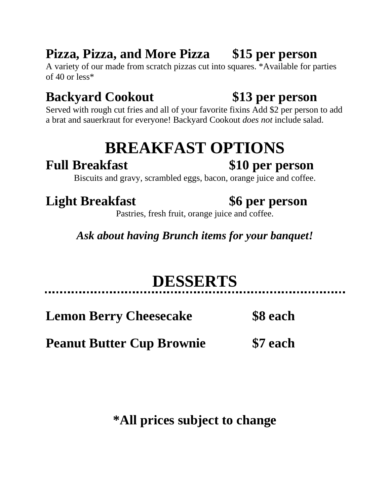## **Pizza, Pizza, and More Pizza \$15 per person**

A variety of our made from scratch pizzas cut into squares. \*Available for parties of 40 or less\*

# **Backyard Cookout \$13 per person**

Served with rough cut fries and all of your favorite fixins Add \$2 per person to add a brat and sauerkraut for everyone! Backyard Cookout *does not* include salad.

# **BREAKFAST OPTIONS**

## **Full Breakfast \$10 per person**

Biscuits and gravy, scrambled eggs, bacon, orange juice and coffee.

# **Light Breakfast \$6 per person**

Pastries, fresh fruit, orange juice and coffee.

*Ask about having Brunch items for your banquet!* 

# **DESSERTS**

**Lemon Berry Cheesecake \$8 each**

**Peanut Butter Cup Brownie \$7 each**